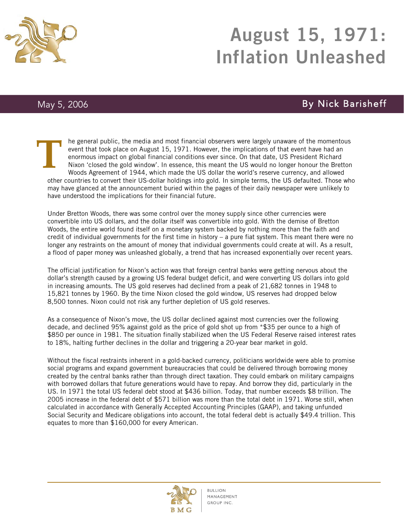

## $SO$  August 15, 1971: Inflation Unleashed

## May 5, 2006 **By Nick Barisheff**

he general public, the media and most financial observers were largely unaware of the momentous event that took place on August 15, 1971. However, the implications of that event have had an enormous impact on global financial conditions ever since. On that date, US President Richard Nixon 'closed the gold window'. In essence, this meant the US would no longer honour the Bretton Woods Agreement of 1944, which made the US dollar the world's reserve currency, and allowed other countries to convert their US-dollar holdings into gold. In simple terms, the US defaulted. Those who may have glanced at the announcement buried within the pages of their daily newspaper were unlikely to have understood the implications for their financial future. **T**

Under Bretton Woods, there was some control over the money supply since other currencies were convertible into US dollars, and the dollar itself was convertible into gold. With the demise of Bretton Woods, the entire world found itself on a monetary system backed by nothing more than the faith and credit of individual governments for the first time in history – a pure fiat system. This meant there were no longer any restraints on the amount of money that individual governments could create at will. As a result, a flood of paper money was unleashed globally, a trend that has increased exponentially over recent years.

The official justification for Nixon's action was that foreign central banks were getting nervous about the dollar's strength caused by a growing US federal budget deficit, and were converting US dollars into gold in increasing amounts. The US gold reserves had declined from a peak of 21,682 tonnes in 1948 to 15,821 tonnes by 1960. By the time Nixon closed the gold window, US reserves had dropped below 8,500 tonnes. Nixon could not risk any further depletion of US gold reserves.

As a consequence of Nixon's move, the US dollar declined against most currencies over the following decade, and declined 95% against gold as the price of gold shot up from \*\$35 per ounce to a high of \$850 per ounce in 1981. The situation finally stabilized when the US Federal Reserve raised interest rates to 18%, halting further declines in the dollar and triggering a 20-year bear market in gold.

Without the fiscal restraints inherent in a gold-backed currency, politicians worldwide were able to promise social programs and expand government bureaucracies that could be delivered through borrowing money created by the central banks rather than through direct taxation. They could embark on military campaigns with borrowed dollars that future generations would have to repay. And borrow they did, particularly in the US. In 1971 the total US federal debt stood at \$436 billion. Today, that number exceeds \$8 trillion. The 2005 increase in the federal debt of \$571 billion was more than the total debt in 1971. Worse still, when calculated in accordance with Generally Accepted Accounting Principles (GAAP), and taking unfunded Social Security and Medicare obligations into account, the total federal debt is actually \$49.4 trillion. This equates to more than \$160,000 for every American.

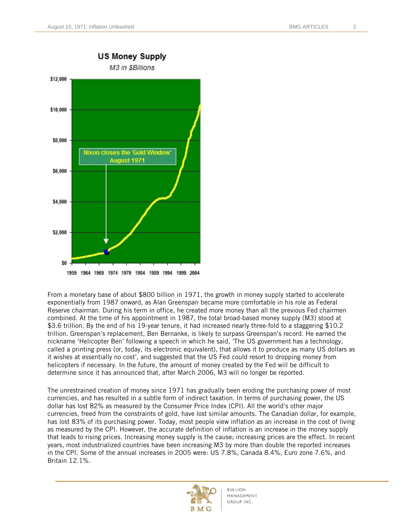

From a monetary base of about \$800 billion in 1971, the growth in money supply started to accelerate exponentially from 1987 onward, as Alan Greenspan became more comfortable in his role as Federal Reserve chairman. During his term in office, he created more money than all the previous Fed chairmen combined. At the time of his appointment in 1987, the total broad-based money supply (M3) stood at \$3.6 trillion. By the end of his 19-year tenure, it had increased nearly three-fold to a staggering \$10.2 trillion. Greenspan's replacement, Ben Bernanke, is likely to surpass Greenspan's record. He earned the nickname 'Helicopter Ben' following a speech in which he said, 'The US government has a technology, called a printing press (or, today, its electronic equivalent), that allows it to produce as many US dollars as it wishes at essentially no cost', and suggested that the US Fed could resort to dropping money from helicopters if necessary. In the future, the amount of money created by the Fed will be difficult to determine since it has announced that, after March 2006, M3 will no longer be reported.

The unrestrained creation of money since 1971 has gradually been eroding the purchasing power of most currencies, and has resulted in a subtle form of indirect taxation. In terms of purchasing power, the US dollar has lost 82% as measured by the Consumer Price Index (CPI). All the world's other major currencies, freed from the constraints of gold, have lost similar amounts. The Canadian dollar, for example, has lost 83% of its purchasing power. Today, most people view inflation as an increase in the cost of living as measured by the CPI. However, the accurate definition of inflation is an increase in the money supply that leads to rising prices. Increasing money supply is the cause; increasing prices are the effect. In recent years, most industrialized countries have been increasing M3 by more than double the reported increases in the CPI. Some of the annual increases in 2005 were: US 7.8%, Canada 8.4%, Euro zone 7.6%, and Britain 12.1%.

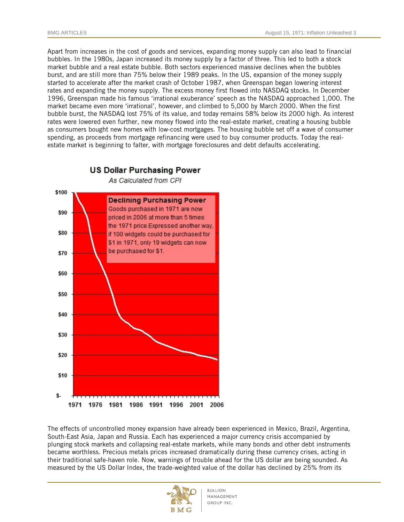Apart from increases in the cost of goods and services, expanding money supply can also lead to financial bubbles. In the 1980s, Japan increased its money supply by a factor of three. This led to both a stock market bubble and a real estate bubble. Both sectors experienced massive declines when the bubbles burst, and are still more than 75% below their 1989 peaks. In the US, expansion of the money supply started to accelerate after the market crash of October 1987, when Greenspan began lowering interest rates and expanding the money supply. The excess money first flowed into NASDAQ stocks. In December 1996, Greenspan made his famous 'irrational exuberance' speech as the NASDAQ approached 1,000. The market became even more 'irrational', however, and climbed to 5,000 by March 2000. When the first bubble burst, the NASDAQ lost 75% of its value, and today remains 58% below its 2000 high. As interest rates were lowered even further, new money flowed into the real-estate market, creating a housing bubble as consumers bought new homes with low-cost mortgages. The housing bubble set off a wave of consumer spending, as proceeds from mortgage refinancing were used to buy consumer products. Today the realestate market is beginning to falter, with mortgage foreclosures and debt defaults accelerating.



The effects of uncontrolled money expansion have already been experienced in Mexico, Brazil, Argentina, South-East Asia, Japan and Russia. Each has experienced a major currency crisis accompanied by plunging stock markets and collapsing real-estate markets, while many bonds and other debt instruments became worthless. Precious metals prices increased dramatically during these currency crises, acting in their traditional safe-haven role. Now, warnings of trouble ahead for the US dollar are being sounded. As measured by the US Dollar Index, the trade-weighted value of the dollar has declined by 25% from its

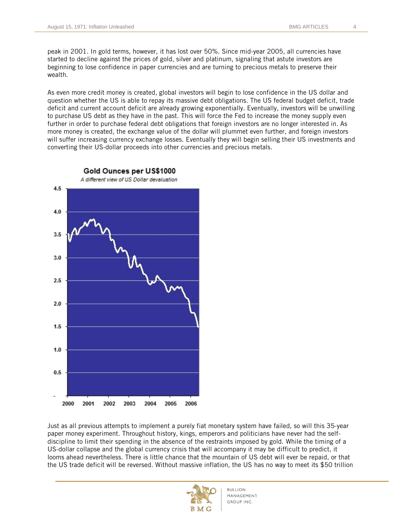peak in 2001. In gold terms, however, it has lost over 50%. Since mid-year 2005, all currencies have started to decline against the prices of gold, silver and platinum, signaling that astute investors are beginning to lose confidence in paper currencies and are turning to precious metals to preserve their wealth.

As even more credit money is created, global investors will begin to lose confidence in the US dollar and question whether the US is able to repay its massive debt obligations. The US federal budget deficit, trade deficit and current account deficit are already growing exponentially. Eventually, investors will be unwilling to purchase US debt as they have in the past. This will force the Fed to increase the money supply even further in order to purchase federal debt obligations that foreign investors are no longer interested in. As more money is created, the exchange value of the dollar will plummet even further, and foreign investors will suffer increasing currency exchange losses. Eventually they will begin selling their US investments and converting their US-dollar proceeds into other currencies and precious metals.



Just as all previous attempts to implement a purely fiat monetary system have failed, so will this 35-year paper money experiment. Throughout history, kings, emperors and politicians have never had the selfdiscipline to limit their spending in the absence of the restraints imposed by gold. While the timing of a US-dollar collapse and the global currency crisis that will accompany it may be difficult to predict, it looms ahead nevertheless. There is little chance that the mountain of US debt will ever be repaid, or that the US trade deficit will be reversed. Without massive inflation, the US has no way to meet its \$50 trillion